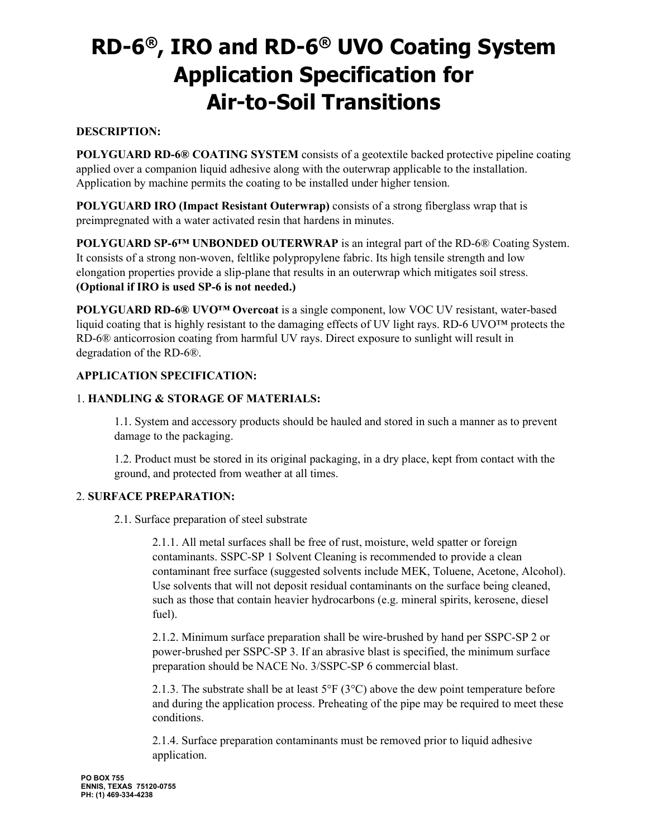# **RD-6®, IRO and RD-6® UVO Coating System Application Specification for Air-to-Soil Transitions**

# **DESCRIPTION:**

**POLYGUARD RD-6® COATING SYSTEM** consists of a geotextile backed protective pipeline coating applied over a companion liquid adhesive along with the outerwrap applicable to the installation. Application by machine permits the coating to be installed under higher tension.

**POLYGUARD IRO (Impact Resistant Outerwrap)** consists of a strong fiberglass wrap that is preimpregnated with a water activated resin that hardens in minutes.

**POLYGUARD SP-6<sup>TM</sup> UNBONDED OUTERWRAP** is an integral part of the RD-6<sup>®</sup> Coating System. It consists of a strong non-woven, feltlike polypropylene fabric. Its high tensile strength and low elongation properties provide a slip-plane that results in an outerwrap which mitigates soil stress. **(Optional if IRO is used SP-6 is not needed.)**

**POLYGUARD RD-6® UVO™ Overcoat** is a single component, low VOC UV resistant, water-based liquid coating that is highly resistant to the damaging effects of UV light rays. RD-6 UVO™ protects the RD-6® anticorrosion coating from harmful UV rays. Direct exposure to sunlight will result in degradation of the RD-6®.

## **APPLICATION SPECIFICATION:**

## 1. **HANDLING & STORAGE OF MATERIALS:**

1.1. System and accessory products should be hauled and stored in such a manner as to prevent damage to the packaging.

1.2. Product must be stored in its original packaging, in a dry place, kept from contact with the ground, and protected from weather at all times.

#### 2. **SURFACE PREPARATION:**

2.1. Surface preparation of steel substrate

2.1.1. All metal surfaces shall be free of rust, moisture, weld spatter or foreign contaminants. SSPC-SP 1 Solvent Cleaning is recommended to provide a clean contaminant free surface (suggested solvents include MEK, Toluene, Acetone, Alcohol). Use solvents that will not deposit residual contaminants on the surface being cleaned, such as those that contain heavier hydrocarbons (e.g. mineral spirits, kerosene, diesel fuel).

2.1.2. Minimum surface preparation shall be wire-brushed by hand per SSPC-SP 2 or power-brushed per SSPC-SP 3. If an abrasive blast is specified, the minimum surface preparation should be NACE No. 3/SSPC-SP 6 commercial blast.

2.1.3. The substrate shall be at least  $5^{\circ}F(3^{\circ}C)$  above the dew point temperature before and during the application process. Preheating of the pipe may be required to meet these conditions.

2.1.4. Surface preparation contaminants must be removed prior to liquid adhesive application.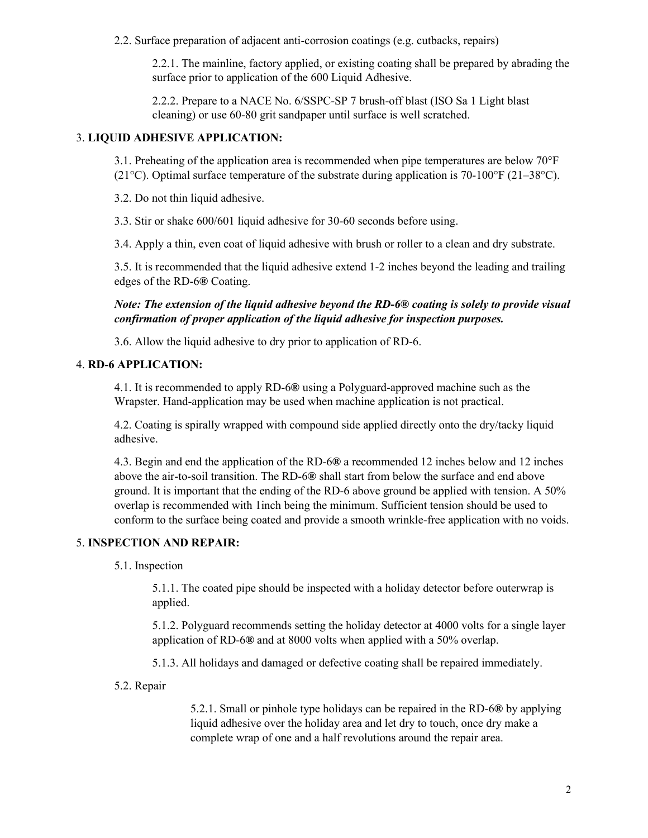2.2. Surface preparation of adjacent anti-corrosion coatings (e.g. cutbacks, repairs)

2.2.1. The mainline, factory applied, or existing coating shall be prepared by abrading the surface prior to application of the 600 Liquid Adhesive.

2.2.2. Prepare to a NACE No. 6/SSPC-SP 7 brush-off blast (ISO Sa 1 Light blast cleaning) or use 60-80 grit sandpaper until surface is well scratched.

## 3. **LIQUID ADHESIVE APPLICATION:**

3.1. Preheating of the application area is recommended when pipe temperatures are below 70°F (21<sup>o</sup>C). Optimal surface temperature of the substrate during application is 70-100<sup>o</sup>F (21–38<sup>o</sup>C).

3.2. Do not thin liquid adhesive.

3.3. Stir or shake 600/601 liquid adhesive for 30-60 seconds before using.

3.4. Apply a thin, even coat of liquid adhesive with brush or roller to a clean and dry substrate.

3.5. It is recommended that the liquid adhesive extend 1-2 inches beyond the leading and trailing edges of the RD-6**®** Coating.

# *Note: The extension of the liquid adhesive beyond the RD-6***®** *coating is solely to provide visual confirmation of proper application of the liquid adhesive for inspection purposes.*

3.6. Allow the liquid adhesive to dry prior to application of RD-6.

## 4. **RD-6 APPLICATION:**

4.1. It is recommended to apply RD-6**®** using a Polyguard-approved machine such as the Wrapster. Hand-application may be used when machine application is not practical.

4.2. Coating is spirally wrapped with compound side applied directly onto the dry/tacky liquid adhesive.

4.3. Begin and end the application of the RD-6**®** a recommended 12 inches below and 12 inches above the air-to-soil transition. The RD-6**®** shall start from below the surface and end above ground. It is important that the ending of the RD-6 above ground be applied with tension. A 50% overlap is recommended with 1inch being the minimum. Sufficient tension should be used to conform to the surface being coated and provide a smooth wrinkle-free application with no voids.

# 5. **INSPECTION AND REPAIR:**

5.1. Inspection

5.1.1. The coated pipe should be inspected with a holiday detector before outerwrap is applied.

5.1.2. Polyguard recommends setting the holiday detector at 4000 volts for a single layer application of RD-6**®** and at 8000 volts when applied with a 50% overlap.

5.1.3. All holidays and damaged or defective coating shall be repaired immediately.

5.2. Repair

5.2.1. Small or pinhole type holidays can be repaired in the RD-6**®** by applying liquid adhesive over the holiday area and let dry to touch, once dry make a complete wrap of one and a half revolutions around the repair area.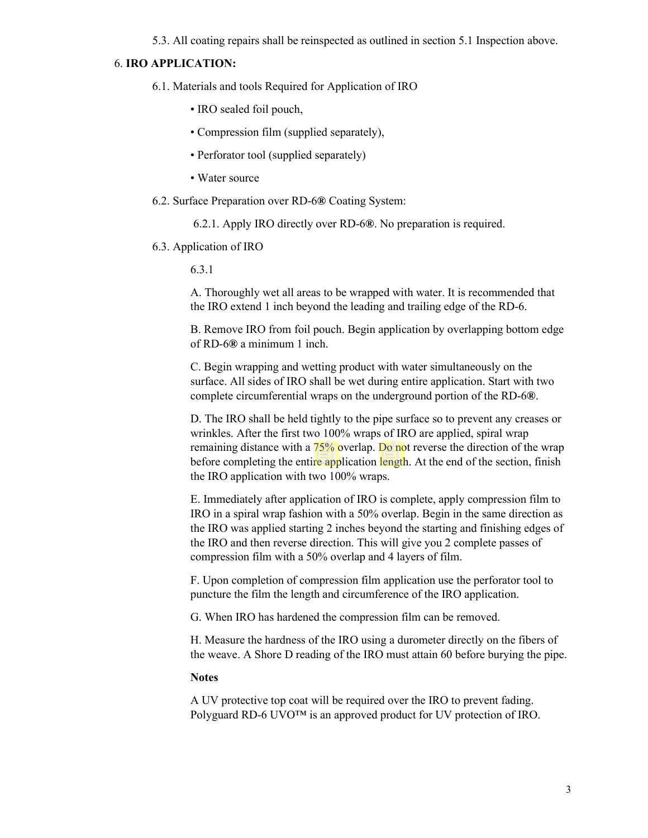5.3. All coating repairs shall be reinspected as outlined in section 5.1 Inspection above.

#### 6. **IRO APPLICATION:**

- 6.1. Materials and tools Required for Application of IRO
	- IRO sealed foil pouch,
	- Compression film (supplied separately),
	- Perforator tool (supplied separately)
	- Water source
- 6.2. Surface Preparation over RD-6**®** Coating System:

6.2.1. Apply IRO directly over RD-6**®**. No preparation is required.

6.3. Application of IRO

6.3.1

A. Thoroughly wet all areas to be wrapped with water. It is recommended that the IRO extend 1 inch beyond the leading and trailing edge of the RD-6.

B. Remove IRO from foil pouch. Begin application by overlapping bottom edge of RD-6**®** a minimum 1 inch.

C. Begin wrapping and wetting product with water simultaneously on the surface. All sides of IRO shall be wet during entire application. Start with two complete circumferential wraps on the underground portion of the RD-6**®**.

D. The IRO shall be held tightly to the pipe surface so to prevent any creases or wrinkles. After the first two 100% wraps of IRO are applied, spiral wrap remaining distance with a 75% overlap. Do not reverse the direction of the wrap before completing the entire application length. At the end of the section, finish the IRO application with two 100% wraps.

E. Immediately after application of IRO is complete, apply compression film to IRO in a spiral wrap fashion with a 50% overlap. Begin in the same direction as the IRO was applied starting 2 inches beyond the starting and finishing edges of the IRO and then reverse direction. This will give you 2 complete passes of compression film with a 50% overlap and 4 layers of film.

F. Upon completion of compression film application use the perforator tool to puncture the film the length and circumference of the IRO application.

G. When IRO has hardened the compression film can be removed.

H. Measure the hardness of the IRO using a durometer directly on the fibers of the weave. A Shore D reading of the IRO must attain 60 before burying the pipe.

#### **Notes**

A UV protective top coat will be required over the IRO to prevent fading. Polyguard RD-6 UVO<sup>™</sup> is an approved product for UV protection of IRO.